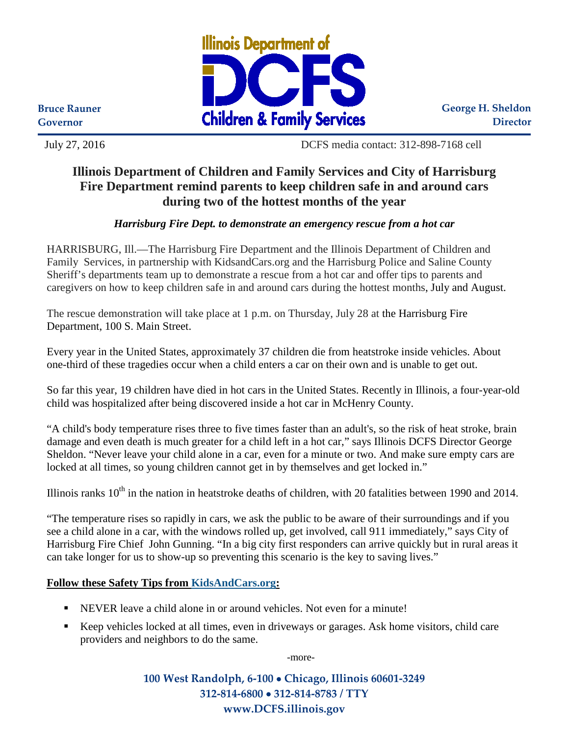

**George H. Sheldon Director**

**Bruce Rauner Governor**

July 27, 2016 DCFS media contact: 312-898-7168 cell

## **Illinois Department of Children and Family Services and City of Harrisburg Fire Department remind parents to keep children safe in and around cars during two of the hottest months of the year**

## *Harrisburg Fire Dept. to demonstrate an emergency rescue from a hot car*

HARRISBURG, Ill.—The Harrisburg Fire Department and the Illinois Department of Children and Family Services, in partnership with KidsandCars.org and the Harrisburg Police and Saline County Sheriff's departments team up to demonstrate a rescue from a hot car and offer tips to parents and caregivers on how to keep children safe in and around cars during the hottest months, July and August.

The rescue demonstration will take place at 1 p.m. on Thursday, July 28 at the Harrisburg Fire Department, 100 S. Main Street.

Every year in the United States, approximately 37 children die from heatstroke inside vehicles. About one-third of these tragedies occur when a child enters a car on their own and is unable to get out.

So far this year, 19 children have died in hot cars in the United States. Recently in Illinois, a four-year-old child was hospitalized after being discovered inside a hot car in McHenry County.

"A child's body temperature rises three to five times faster than an adult's, so the risk of heat stroke, brain damage and even death is much greater for a child left in a hot car," says Illinois DCFS Director George Sheldon. "Never leave your child alone in a car, even for a minute or two. And make sure empty cars are locked at all times, so young children cannot get in by themselves and get locked in."

Illinois ranks  $10^{th}$  in the nation in heatstroke deaths of children, with 20 fatalities between 1990 and 2014.

"The temperature rises so rapidly in cars, we ask the public to be aware of their surroundings and if you see a child alone in a car, with the windows rolled up, get involved, call 911 immediately," says City of Harrisburg Fire Chief John Gunning. "In a big city first responders can arrive quickly but in rural areas it can take longer for us to show-up so preventing this scenario is the key to saving lives."

## **Follow these Safety Tips from [KidsAndCars.org:](http://www.kidsandcars.org/)**

- NEVER leave a child alone in or around vehicles. Not even for a minute!
- Keep vehicles locked at all times, even in driveways or garages. Ask home visitors, child care providers and neighbors to do the same.

-more-

**100 West Randolph, 6-100** • **Chicago, Illinois 60601-3249 312-814-6800** • **312-814-8783 / TTY www.DCFS.illinois.gov**